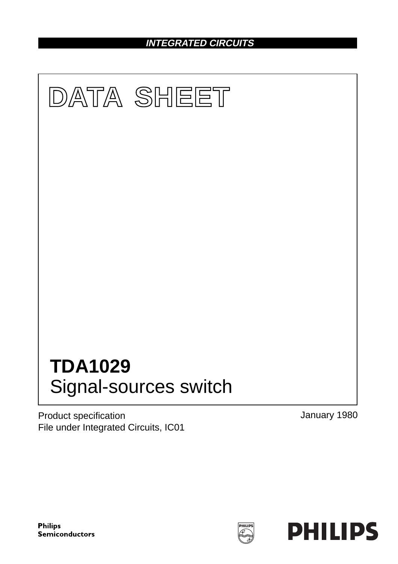**INTEGRATED CIRCUITS**



Product specification File under Integrated Circuits, IC01 January 1980

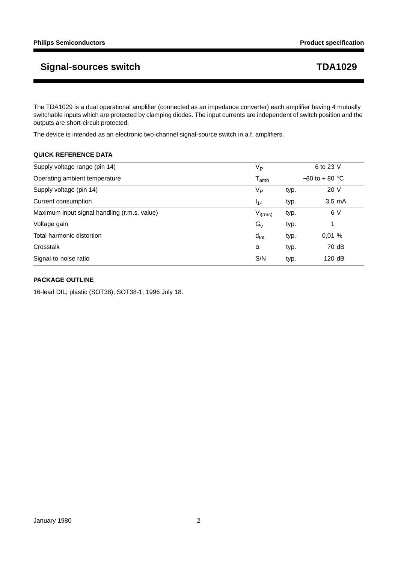The TDA1029 is a dual operational amplifier (connected as an impedance converter) each amplifier having 4 mutually switchable inputs which are protected by clamping diodes. The input currents are independent of switch position and the outputs are short-circuit protected.

The device is intended as an electronic two-channel signal-source switch in a.f. amplifiers.

### **QUICK REFERENCE DATA**

| Supply voltage range (pin 14)                | V <sub>P</sub>              | 6 to 23 V        |                  |  |
|----------------------------------------------|-----------------------------|------------------|------------------|--|
| Operating ambient temperature                | $\mathsf{T}_{\mathsf{amb}}$ | $-30$ to + 80 °C |                  |  |
| Supply voltage (pin 14)                      | V <sub>P</sub>              | typ.             | 20 V             |  |
| Current consumption                          | $I_{14}$                    | typ.             | $3.5 \text{ mA}$ |  |
| Maximum input signal handling (r.m.s. value) | $V_{i(rms)}$                | typ.             | 6 V              |  |
| Voltage gain                                 | $G_{V}$                     | typ.             | 1                |  |
| Total harmonic distortion                    | $d_{\text{tot}}$            | typ.             | 0,01%            |  |
| Crosstalk                                    | $\alpha$                    | typ.             | 70 dB            |  |
| Signal-to-noise ratio                        | S/N                         | typ.             | 120 dB           |  |

## **PACKAGE OUTLINE**

16-lead DIL; plastic (SOT38); SOT38-1; 1996 July 18.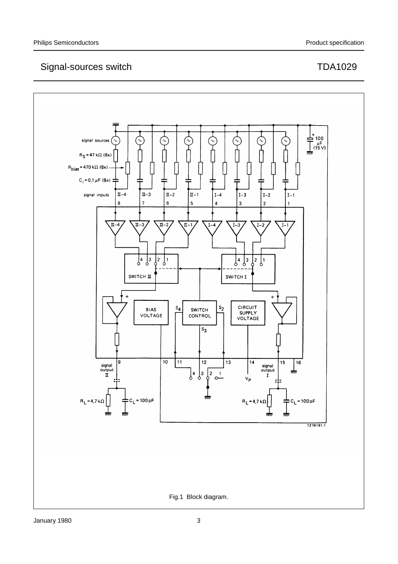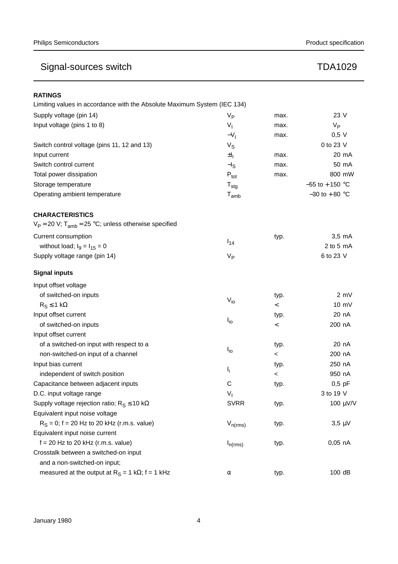| <b>RATINGS</b>                                                           |                  |         |                    |
|--------------------------------------------------------------------------|------------------|---------|--------------------|
| Limiting values in accordance with the Absolute Maximum System (IEC 134) |                  |         |                    |
| Supply voltage (pin 14)                                                  | $V_{\mathsf{P}}$ | max.    | 23 V               |
| Input voltage (pins 1 to 8)                                              | $V_{I}$          | max.    | $V_{\mathsf{P}}$   |
|                                                                          | $-V1$            | max.    | $0,5$ V            |
| Switch control voltage (pins 11, 12 and 13)                              | $V_{S}$          |         | 0 to 23 V          |
| Input current                                                            | $\pm I_1$        | max.    | 20 mA              |
| Switch control current                                                   | $-l_S$           | max.    | 50 mA              |
| Total power dissipation                                                  | $P_{\text{tot}}$ | max.    | 800 mW             |
| Storage temperature                                                      | $T_{\text{stg}}$ |         | $-55$ to $+150$ °C |
| Operating ambient temperature                                            | $T_{amb}$        |         | $-30$ to $+80$ °C  |
| <b>CHARACTERISTICS</b>                                                   |                  |         |                    |
| $V_P = 20$ V; T <sub>amb</sub> = 25 °C; unless otherwise specified       |                  |         |                    |
| Current consumption                                                      |                  | typ.    | $3,5$ mA           |
| without load; $I_9 = I_{15} = 0$                                         | $I_{14}$         |         | 2 to 5 $mA$        |
| Supply voltage range (pin 14)                                            | $V_{\mathsf{P}}$ |         | 6 to 23 V          |
| <b>Signal inputs</b>                                                     |                  |         |                    |
| Input offset voltage                                                     |                  |         |                    |
| of switched-on inputs                                                    |                  | typ.    | 2 mV               |
| $R_S \leq 1 k\Omega$                                                     | $V_{io}$         | $\,<\,$ | $10 \text{ mV}$    |
| Input offset current                                                     |                  | typ.    | 20 nA              |
| of switched-on inputs                                                    | $I_{\text{io}}$  |         | 200 nA             |
| Input offset current                                                     |                  |         |                    |
| of a switched-on input with respect to a                                 |                  | typ.    | 20 nA              |
| non-switched-on input of a channel                                       | $I_{io}$         | $\,<\,$ | 200 nA             |
| Input bias current                                                       |                  | typ.    | 250 nA             |
| independent of switch position                                           | $I_{i}$          | $\,<\,$ | 950 nA             |
| Capacitance between adjacent inputs                                      | C                | typ.    | $0,5$ pF           |
| D.C. input voltage range                                                 | $V_{I}$          |         | 3 to 19 V          |
| Supply voltage rejection ratio; $R_S \le 10 k\Omega$                     | <b>SVRR</b>      | typ.    | 100 μV/V           |
| Equivalent input noise voltage                                           |                  |         |                    |
| $R_S = 0$ ; f = 20 Hz to 20 kHz (r.m.s. value)                           | $V_{n(rms)}$     | typ.    | $3,5 \mu V$        |
| Equivalent input noise current                                           |                  |         |                    |
| $f = 20$ Hz to 20 kHz (r.m.s. value)                                     | $I_{n(rms)}$     | typ.    | $0,05$ nA          |
| Crosstalk between a switched-on input                                    |                  |         |                    |
| and a non-switched-on input;                                             |                  |         |                    |
| measured at the output at $R_S = 1 k\Omega$ ; f = 1 kHz                  | α                | typ.    | 100 dB             |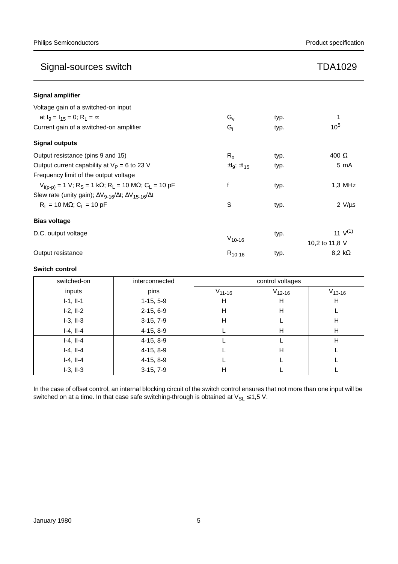| <b>Signal amplifier</b>                                                                   |                          |      |                |
|-------------------------------------------------------------------------------------------|--------------------------|------|----------------|
| Voltage gain of a switched-on input                                                       |                          |      |                |
| at $I_0 = I_{15} = 0$ ; $R_1 = \infty$                                                    | $G_v$                    | typ. |                |
| Current gain of a switched-on amplifier                                                   | $G_i$                    | typ. | $10^{5}$       |
| <b>Signal outputs</b>                                                                     |                          |      |                |
| Output resistance (pins 9 and 15)                                                         | $R_{0}$                  | typ. | 400 $\Omega$   |
| Output current capability at $V_P = 6$ to 23 V                                            | $\pm I_9$ ; $\pm I_{15}$ | typ. | 5 mA           |
| Frequency limit of the output voltage                                                     |                          |      |                |
| $V_{i(p-p)}$ = 1 V; R <sub>S</sub> = 1 kΩ; R <sub>L</sub> = 10 MΩ; C <sub>L</sub> = 10 pF | f                        | typ. | $1,3$ MHz      |
| Slew rate (unity gain); $\Delta V_{9-16}/\Delta t$ ; $\Delta V_{15-16}/\Delta t$          |                          |      |                |
| $R_1 = 10 M\Omega$ ; C <sub>1</sub> = 10 pF                                               | S                        | typ. | $2 V/\mu s$    |
| <b>Bias voltage</b>                                                                       |                          |      |                |
| D.C. output voltage                                                                       |                          | typ. | 11 $V^{(1)}$   |
|                                                                                           | $V_{10-16}$              |      | 10,2 to 11,8 V |
| Output resistance                                                                         | $R_{10-16}$              | typ. | 8,2 k $\Omega$ |

## **Switch control**

| switched-on    | interconnected | control voltages |             |             |
|----------------|----------------|------------------|-------------|-------------|
| inputs         | pins           | $V_{11-16}$      | $V_{12-16}$ | $V_{13-16}$ |
| $I-1, II-1$    | $1-15, 5-9$    | н                | H           | H           |
| $I-2, II-2$    | $2-15, 6-9$    | н                | н           |             |
| $I-3$ , $II-3$ | $3-15, 7-9$    | н                |             | H           |
| $I-4, II-4$    | $4-15, 8-9$    |                  | H           | H           |
| $I-4, II-4$    | $4-15, 8-9$    |                  |             | H           |
| $I-4, II-4$    | $4-15, 8-9$    |                  | н           |             |
| $I-4, II-4$    | $4-15, 8-9$    |                  |             |             |
| $I-3$ , $II-3$ | $3-15, 7-9$    | н                |             |             |

In the case of offset control, an internal blocking circuit of the switch control ensures that not more than one input will be switched on at a time. In that case safe switching-through is obtained at  $V_{SL} \le 1.5$  V.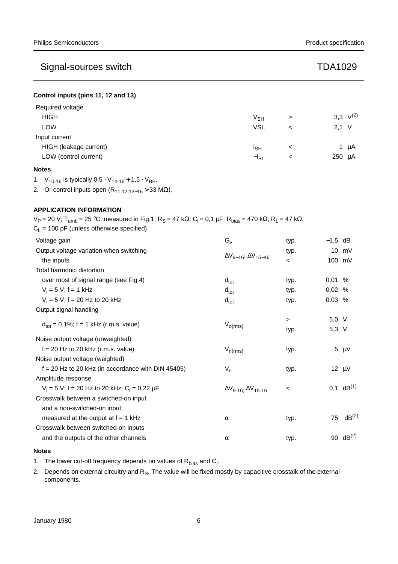| Control inputs (pins 11, 12 and 13) |  |  |  |  |  |  |
|-------------------------------------|--|--|--|--|--|--|
|-------------------------------------|--|--|--|--|--|--|

| Required voltage       |                 |   |                 |  |
|------------------------|-----------------|---|-----------------|--|
| <b>HIGH</b>            | V <sub>SH</sub> | > | 3,3 $V^{(2)}$   |  |
| <b>LOW</b>             | <b>VSL</b>      | ≺ | $2.1 \text{ V}$ |  |
| Input current          |                 |   |                 |  |
| HIGH (leakage current) | Isн             | ≺ | μA              |  |
| LOW (control current)  | $-I_{SL}$       | ≺ | 250 µA          |  |

### **Notes**

1.  $V_{10-16}$  is typically  $0.5 \cdot V_{14-16} + 1.5 \cdot V_{BE}$ .

2. Or control inputs open  $(R_{11,12,13-16} > 33 MΩ)$ .

## **APPLICATION INFORMATION**

 $V_P = 20$  V; T<sub>amb</sub> = 25 °C; measured in Fig.1; R<sub>S</sub> = 47 kΩ; C<sub>i</sub> = 0,1 μF; R<sub>bias</sub> = 470 kΩ; R<sub>L</sub> = 47 kΩ;  $C_{L}$  = 100 pF (unless otherwise specified) Voltage gain  $G_v$ typ.  $-1.5$  dB Output voltage variation when switching  $\Delta V_{9-16}$ ;  $\Delta V_{15-16}$ typ. 10 mV the inputs  $\begin{array}{ccc} -\frac{1}{2} & -\frac{1}{2} & -\frac{1}{2} & -\frac{1}{2} & -\frac{1}{2} & -\frac{1}{2} & -\frac{1}{2} & -\frac{1}{2} & -\frac{1}{2} & -\frac{1}{2} & -\frac{1}{2} & -\frac{1}{2} & -\frac{1}{2} & -\frac{1}{2} & -\frac{1}{2} & -\frac{1}{2} & -\frac{1}{2} & -\frac{1}{2} & -\frac{1}{2} & -\frac{1}{2} & -\frac{1}{2} & -\frac{1}{2} & -\frac{$ Total harmonic distortion over most of signal range (see Fig.4)  $d_{tot}$  typ. 0,01 %  $V_i = 5 V; f = 1 kHz$  0,02 %  $V_i = 5 V; f = 20 Hz$  to 20 kHz d<sub>tot</sub> d<sub>tot</sub> d<sub>tot</sub> typ. 0,03 % Output signal handling  $d_{\text{tot}} = 0.1\%$ ; f = 1 kHz (r.m.s. value)  $V_{\text{o(rms)}}$ > 5,0 V typ. 5,3 V Noise output voltage (unweighted)  $f = 20$  Hz to 20 kHz (r.m.s. value)  $V_{n(rms)}$  typ. 5  $\mu$ V Noise output voltage (weighted)  $f = 20$  Hz to 20 kHz (in accordance with DIN 45405)  $V_n$ typ. 12 µV Amplitude response  $V_i = 5 V$ ; f = 20 Hz to 20 kHz;  $C_i$  $\Delta V_{9-16}$ ;  $\Delta V_{15-16}$  < 0,1 dB<sup>(1)</sup> Crosswalk between a switched-on input and a non-switched-on input; measured at the output at f = 1 kHz  $\alpha$  typ. 75 dB<sup>(2)</sup> Crosswalk between switched-on inputs and the outputs of the other channels  $\alpha$  typ. 90 dB<sup>(2)</sup>

### **Notes**

1. The lower cut-off frequency depends on values of  $R_{bias}$  and  $C_i$ .

2. Depends on external circuitry and  $R_S$ . The value will be fixed mostly by capacitive crosstalk of the external components.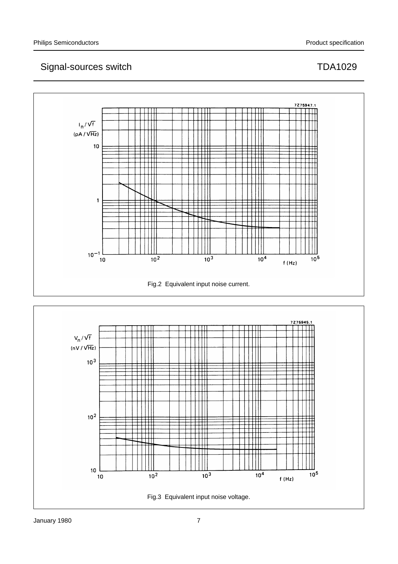

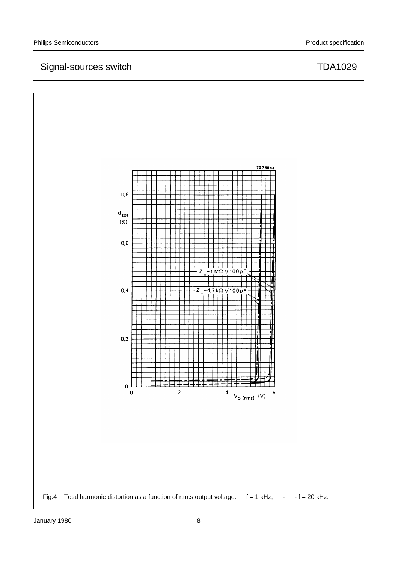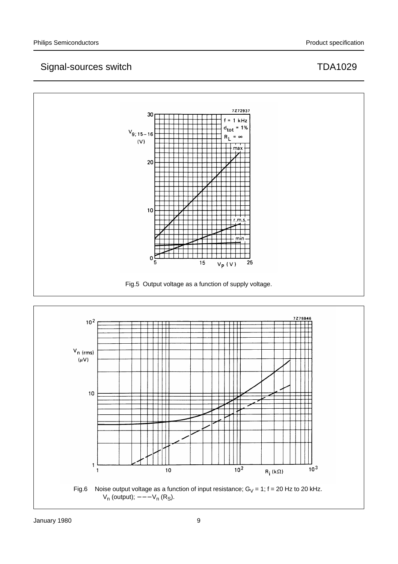

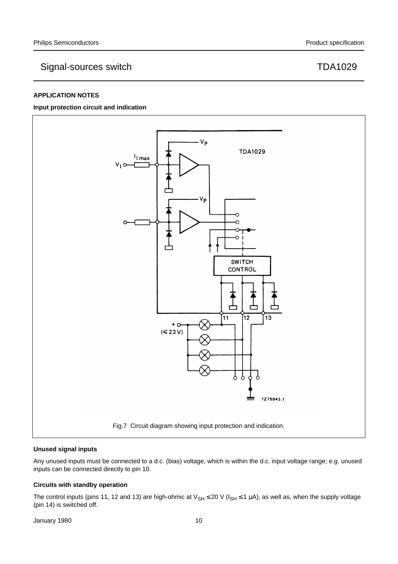## **APPLICATION NOTES**

#### **Input protection circuit and indication**



#### **Unused signal inputs**

Any unused inputs must be connected to a d.c. (bias) voltage, which is within the d.c. input voltage range; e.g. unused inputs can be connected directly to pin 10.

### **Circuits with standby operation**

The control inputs (pins 11, 12 and 13) are high-ohmic at  $V_{SH} \le 20$  V ( $I_{SH} \le 1$  µA), as well as, when the supply voltage (pin 14) is switched off.

January 1980 **10** 10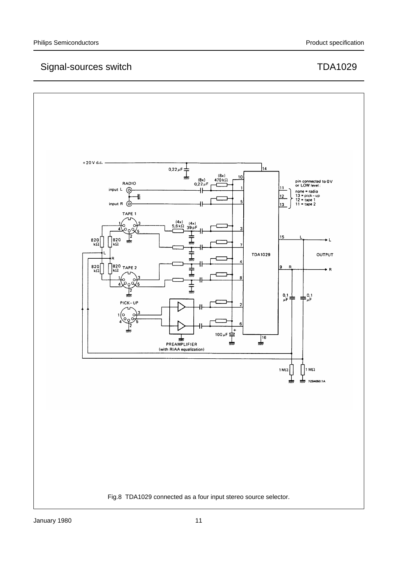

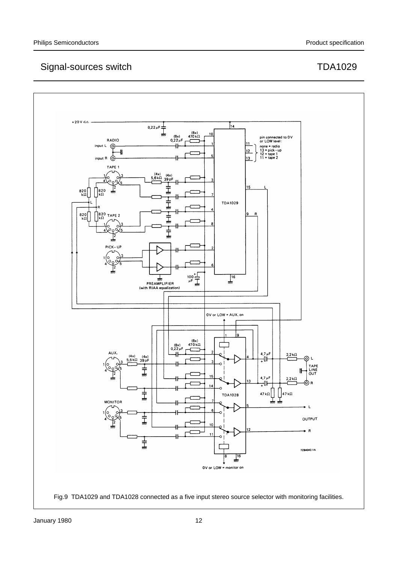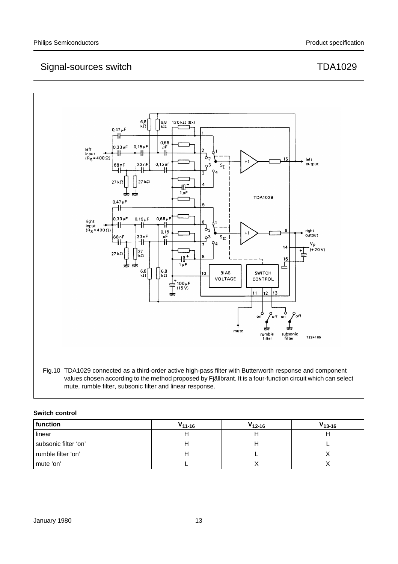

## **Switch control**

| function             | $V_{11-16}$ | $V_{12-16}$ | $V_{13-16}$ |
|----------------------|-------------|-------------|-------------|
| linear               |             |             |             |
| subsonic filter 'on' |             |             |             |
| rumble filter 'on'   |             |             |             |
| mute 'on'            |             |             |             |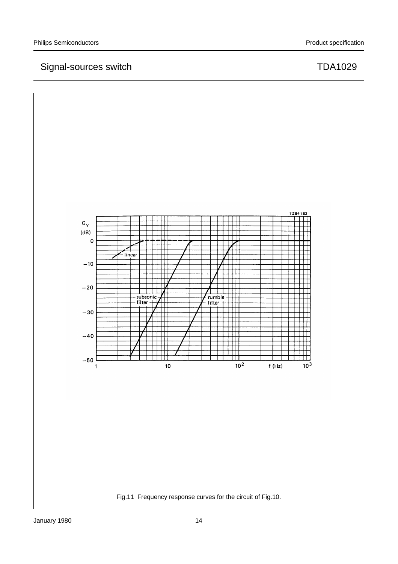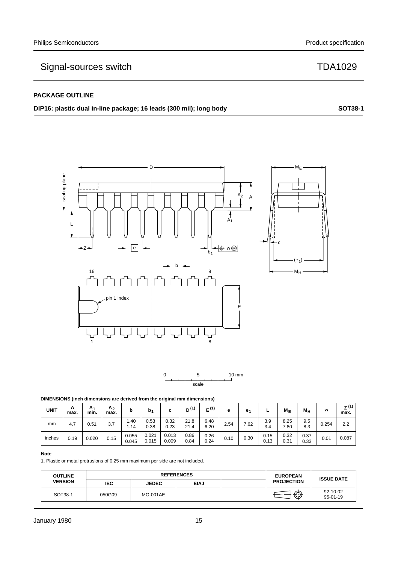## **PACKAGE OUTLINE**

## **DIP16:** plastic dual in-line package; 16 leads (300 mil); long body **SOT38-1**



#### **Note**

inches

1. Plastic or metal protrusions of 0.25 mm maximum per side are not included.

 $0.15 \begin{array}{|c|c|c|c|c|} \hline 0.055 & 0.021 \ \hline & 0.045 & 0.045 \ \hline \end{array}$ 0.045

0.015

| <b>OUTLINE</b> | <b>REFERENCES</b> |                 |             | <b>EUROPEAN</b> | <b>ISSUE DATE</b> |                             |
|----------------|-------------------|-----------------|-------------|-----------------|-------------------|-----------------------------|
| <b>VERSION</b> | <b>IEC</b>        | <b>JEDEC</b>    | <b>EIAJ</b> |                 | <b>PROJECTION</b> |                             |
| SOT38-1        | 050G09            | <b>MO-001AE</b> |             |                 | ⊕                 | $-92 - 10 - 02$<br>95-01-19 |

0.009 0.19 0.020 0.10 0.01

0.86 0.84

0.013<br>0.009

0.26 0.24 0.15 0.13 0.32 0.31 0.37 0.33

0.087

0.30